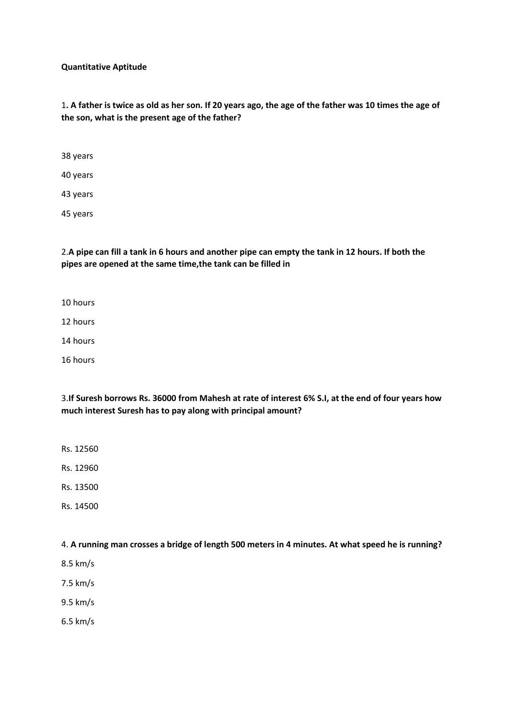#### **Quantitative Aptitude**

1**. A father is twice as old as her son. If 20 years ago, the age of the father was 10 times the age of the son, what is the present age of the father?**

38 years

40 years

43 years

45 years

2.**A pipe can fill a tank in 6 hours and another pipe can empty the tank in 12 hours. If both the pipes are opened at the same time,the tank can be filled in**

10 hours

12 hours

14 hours

16 hours

3.**If Suresh borrows Rs. 36000 from Mahesh at rate of interest 6% S.I, at the end of four years how much interest Suresh has to pay along with principal amount?**

Rs. 12560

Rs. 12960

Rs. 13500

Rs. 14500

4. **A running man crosses a bridge of length 500 meters in 4 minutes. At what speed he is running?**

8.5 km/s

7.5 km/s

9.5 km/s

6.5 km/s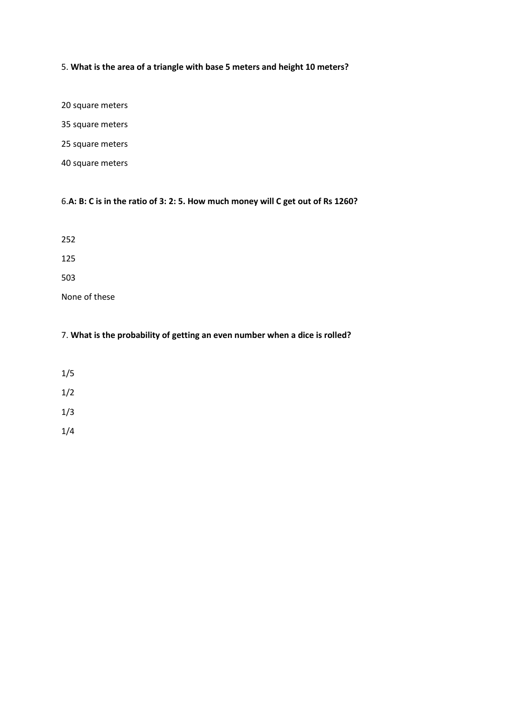# 5. **What is the area of a triangle with base 5 meters and height 10 meters?**

20 square meters

35 square meters

25 square meters

40 square meters

## 6.**A: B: C is in the ratio of 3: 2: 5. How much money will C get out of Rs 1260?**

252

125

503

None of these

## 7. **What is the probability of getting an even number when a dice is rolled?**

1/5

1/2

1/3

1/4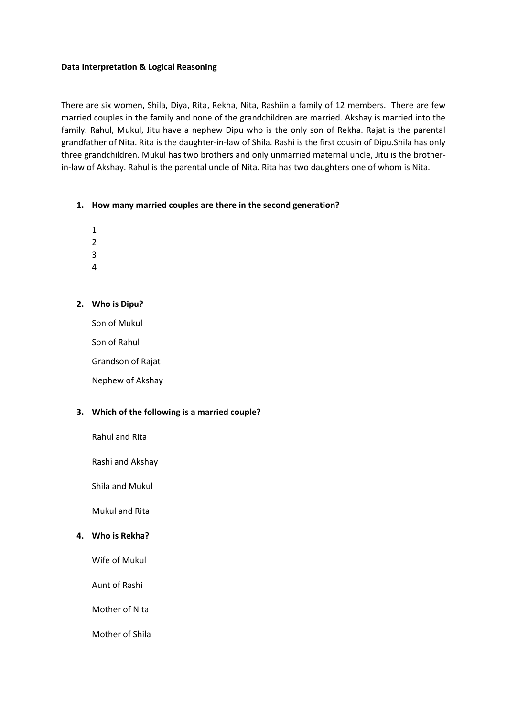## **Data Interpretation & Logical Reasoning**

There are six women, Shila, Diya, Rita, Rekha, Nita, Rashiin a family of 12 members. There are few married couples in the family and none of the grandchildren are married. Akshay is married into the family. Rahul, Mukul, Jitu have a nephew Dipu who is the only son of Rekha. Rajat is the parental grandfather of Nita. Rita is the daughter-in-law of Shila. Rashi is the first cousin of Dipu.Shila has only three grandchildren. Mukul has two brothers and only unmarried maternal uncle, Jitu is the brotherin-law of Akshay. Rahul is the parental uncle of Nita. Rita has two daughters one of whom is Nita.

## **1. How many married couples are there in the second generation?**

- 1
- 2
- 3
- 4

## **2. Who is Dipu?**

Son of Mukul

Son of Rahul

Grandson of Rajat

Nephew of Akshay

## **3. Which of the following is a married couple?**

Rahul and Rita

Rashi and Akshay

Shila and Mukul

Mukul and Rita

## **4. Who is Rekha?**

Wife of Mukul

Aunt of Rashi

Mother of Nita

Mother of Shila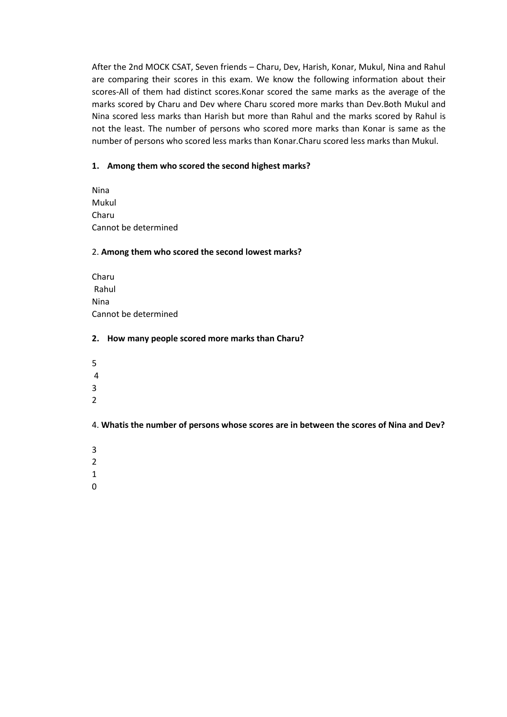After the 2nd MOCK CSAT, Seven friends – Charu, Dev, Harish, Konar, Mukul, Nina and Rahul are comparing their scores in this exam. We know the following information about their scores-All of them had distinct scores.Konar scored the same marks as the average of the marks scored by Charu and Dev where Charu scored more marks than Dev.Both Mukul and Nina scored less marks than Harish but more than Rahul and the marks scored by Rahul is not the least. The number of persons who scored more marks than Konar is same as the number of persons who scored less marks than Konar.Charu scored less marks than Mukul.

## **1. Among them who scored the second highest marks?**

Nina Mukul Charu Cannot be determined

## 2. **Among them who scored the second lowest marks?**

Charu Rahul Nina Cannot be determined

## **2. How many people scored more marks than Charu?**

- 5
- 4
- 3
- 2

4. **Whatis the number of persons whose scores are in between the scores of Nina and Dev?**

- 3
- 2
- 1
- 0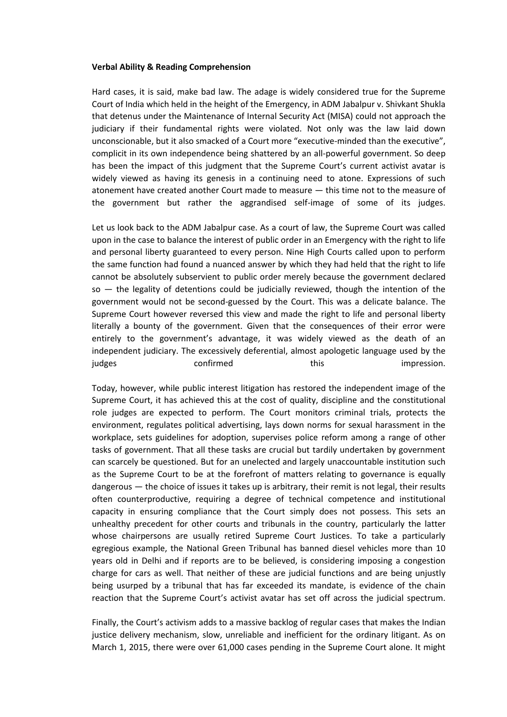#### **Verbal Ability & Reading Comprehension**

Hard cases, it is said, make bad law. The adage is widely considered true for the Supreme Court of India which held in the height of the Emergency, in ADM Jabalpur v. Shivkant Shukla that detenus under the Maintenance of Internal Security Act (MISA) could not approach the judiciary if their fundamental rights were violated. Not only was the law laid down unconscionable, but it also smacked of a Court more "executive-minded than the executive", complicit in its own independence being shattered by an all-powerful government. So deep has been the impact of this judgment that the Supreme Court's current activist avatar is widely viewed as having its genesis in a continuing need to atone. Expressions of such atonement have created another Court made to measure — this time not to the measure of the government but rather the aggrandised self-image of some of its judges.

Let us look back to the ADM Jabalpur case. As a court of law, the Supreme Court was called upon in the case to balance the interest of public order in an Emergency with the right to life and personal liberty guaranteed to every person. Nine High Courts called upon to perform the same function had found a nuanced answer by which they had held that the right to life cannot be absolutely subservient to public order merely because the government declared  $so -$  the legality of detentions could be judicially reviewed, though the intention of the government would not be second-guessed by the Court. This was a delicate balance. The Supreme Court however reversed this view and made the right to life and personal liberty literally a bounty of the government. Given that the consequences of their error were entirely to the government's advantage, it was widely viewed as the death of an independent judiciary. The excessively deferential, almost apologetic language used by the judges confirmed this the impression.

Today, however, while public interest litigation has restored the independent image of the Supreme Court, it has achieved this at the cost of quality, discipline and the constitutional role judges are expected to perform. The Court monitors criminal trials, protects the environment, regulates political advertising, lays down norms for sexual harassment in the workplace, sets guidelines for adoption, supervises police reform among a range of other tasks of government. That all these tasks are crucial but tardily undertaken by government can scarcely be questioned. But for an unelected and largely unaccountable institution such as the Supreme Court to be at the forefront of matters relating to governance is equally dangerous — the choice of issues it takes up is arbitrary, their remit is not legal, their results often counterproductive, requiring a degree of technical competence and institutional capacity in ensuring compliance that the Court simply does not possess. This sets an unhealthy precedent for other courts and tribunals in the country, particularly the latter whose chairpersons are usually retired Supreme Court Justices. To take a particularly egregious example, the National Green Tribunal has banned diesel vehicles more than 10 years old in Delhi and if reports are to be believed, is considering imposing a congestion charge for cars as well. That neither of these are judicial functions and are being unjustly being usurped by a tribunal that has far exceeded its mandate, is evidence of the chain reaction that the Supreme Court's activist avatar has set off across the judicial spectrum.

Finally, the Court's activism adds to a massive backlog of regular cases that makes the Indian justice delivery mechanism, slow, unreliable and inefficient for the ordinary litigant. As on March 1, 2015, there were over 61,000 cases pending in the Supreme Court alone. It might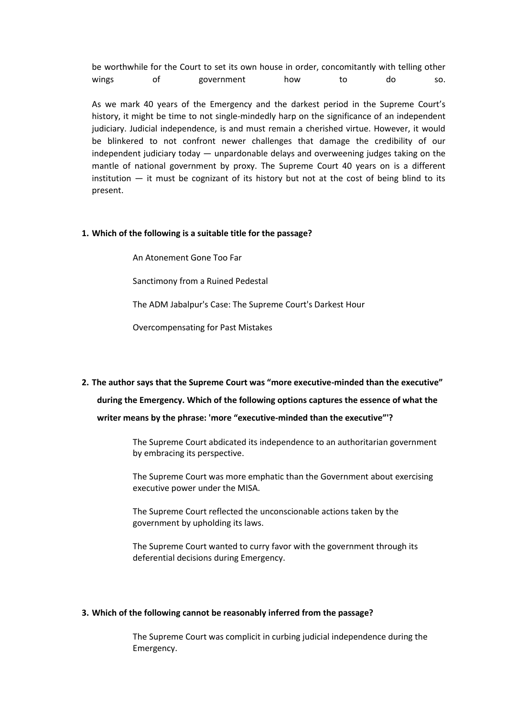be worthwhile for the Court to set its own house in order, concomitantly with telling other wings of government how to do so.

As we mark 40 years of the Emergency and the darkest period in the Supreme Court's history, it might be time to not single-mindedly harp on the significance of an independent judiciary. Judicial independence, is and must remain a cherished virtue. However, it would be blinkered to not confront newer challenges that damage the credibility of our independent judiciary today — unpardonable delays and overweening judges taking on the mantle of national government by proxy. The Supreme Court 40 years on is a different institution — it must be cognizant of its history but not at the cost of being blind to its present.

#### **1. Which of the following is a suitable title for the passage?**

An Atonement Gone Too Far

Sanctimony from a Ruined Pedestal

The ADM Jabalpur's Case: The Supreme Court's Darkest Hour

Overcompensating for Past Mistakes

# **2. The author says that the Supreme Court was "more executive-minded than the executive" during the Emergency. Which of the following options captures the essence of what the writer means by the phrase: 'more "executive-minded than the executive"'?**

The Supreme Court abdicated its independence to an authoritarian government by embracing its perspective.

The Supreme Court was more emphatic than the Government about exercising executive power under the MISA.

The Supreme Court reflected the unconscionable actions taken by the government by upholding its laws.

The Supreme Court wanted to curry favor with the government through its deferential decisions during Emergency.

#### **3. Which of the following cannot be reasonably inferred from the passage?**

The Supreme Court was complicit in curbing judicial independence during the Emergency.